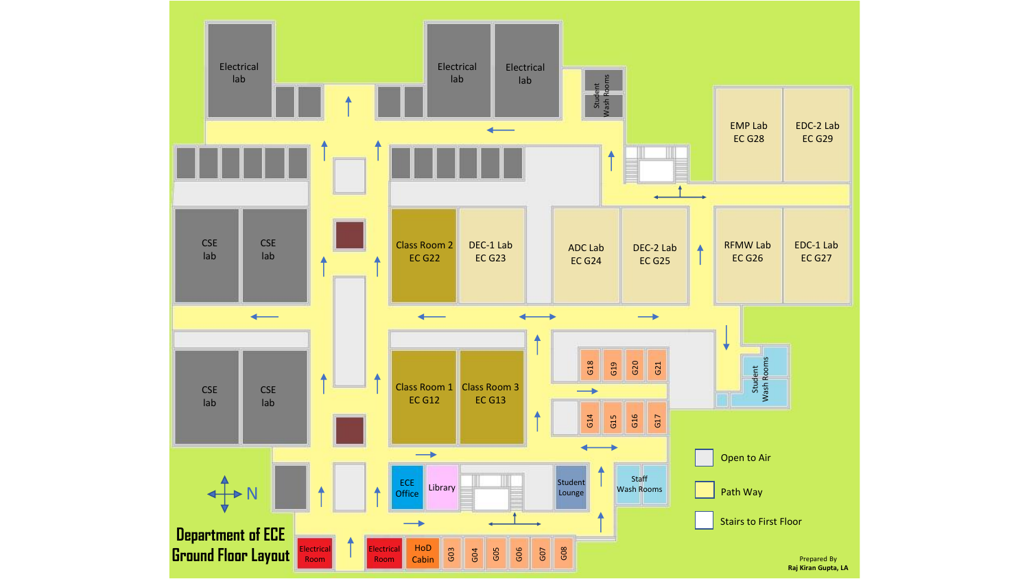